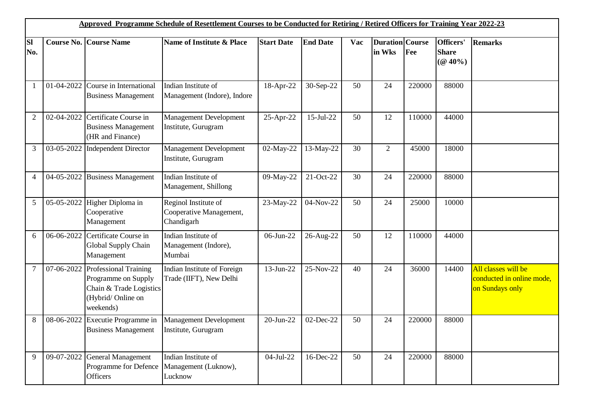| Approved Programme Schedule of Resettlement Courses to be Conducted for Retiring / Retired Officers for Training Year 2022-23 |                   |                                                                                                                  |                                                               |                   |                 |     |                                  |        |                                         |                                                                     |
|-------------------------------------------------------------------------------------------------------------------------------|-------------------|------------------------------------------------------------------------------------------------------------------|---------------------------------------------------------------|-------------------|-----------------|-----|----------------------------------|--------|-----------------------------------------|---------------------------------------------------------------------|
| <b>SI</b><br>No.                                                                                                              | <b>Course No.</b> | <b>Course Name</b>                                                                                               | Name of Institute & Place                                     | <b>Start Date</b> | <b>End Date</b> | Vac | <b>Duration</b> Course<br>in Wks | Fee    | Officers'<br><b>Share</b><br>$(Q 40\%)$ | <b>Remarks</b>                                                      |
| 1                                                                                                                             | 01-04-2022        | Course in International<br><b>Business Management</b>                                                            | Indian Institute of<br>Management (Indore), Indore            | 18-Apr-22         | 30-Sep-22       | 50  | 24                               | 220000 | 88000                                   |                                                                     |
| 2                                                                                                                             | 02-04-2022        | Certificate Course in<br><b>Business Management</b><br>(HR and Finance)                                          | <b>Management Development</b><br>Institute, Gurugram          | 25-Apr-22         | 15-Jul-22       | 50  | 12                               | 110000 | 44000                                   |                                                                     |
| 3                                                                                                                             | 03-05-2022        | <b>Independent Director</b>                                                                                      | <b>Management Development</b><br>Institute, Gurugram          | 02-May-22         | 13-May-22       | 30  | $\overline{2}$                   | 45000  | 18000                                   |                                                                     |
| 4                                                                                                                             | 04-05-2022        | <b>Business Management</b>                                                                                       | Indian Institute of<br>Management, Shillong                   | 09-May-22         | 21-Oct-22       | 30  | 24                               | 220000 | 88000                                   |                                                                     |
| 5                                                                                                                             | 05-05-2022        | Higher Diploma in<br>Cooperative<br>Management                                                                   | Reginol Institute of<br>Cooperative Management,<br>Chandigarh | 23-May-22         | 04-Nov-22       | 50  | 24                               | 25000  | 10000                                   |                                                                     |
| 6                                                                                                                             | 06-06-2022        | Certificate Course in<br>Global Supply Chain<br>Management                                                       | Indian Institute of<br>Management (Indore),<br>Mumbai         | 06-Jun-22         | 26-Aug-22       | 50  | 12                               | 110000 | 44000                                   |                                                                     |
| 7                                                                                                                             | 07-06-2022        | <b>Professional Training</b><br>Programme on Supply<br>Chain & Trade Logistics<br>(Hybrid/Online on<br>weekends) | <b>Indian Institute of Foreign</b><br>Trade (IIFT), New Delhi | 13-Jun-22         | 25-Nov-22       | 40  | 24                               | 36000  | 14400                                   | All classes will be<br>conducted in online mode.<br>on Sundays only |
| 8                                                                                                                             | 08-06-2022        | Executie Programme in<br><b>Business Management</b>                                                              | <b>Management Development</b><br>Institute, Gurugram          | $20$ -Jun-22      | 02-Dec-22       | 50  | 24                               | 220000 | 88000                                   |                                                                     |
| 9                                                                                                                             | 09-07-2022        | <b>General Management</b><br>Programme for Defence<br><b>Officers</b>                                            | Indian Institute of<br>Management (Luknow),<br>Lucknow        | 04-Jul-22         | 16-Dec-22       | 50  | 24                               | 220000 | 88000                                   |                                                                     |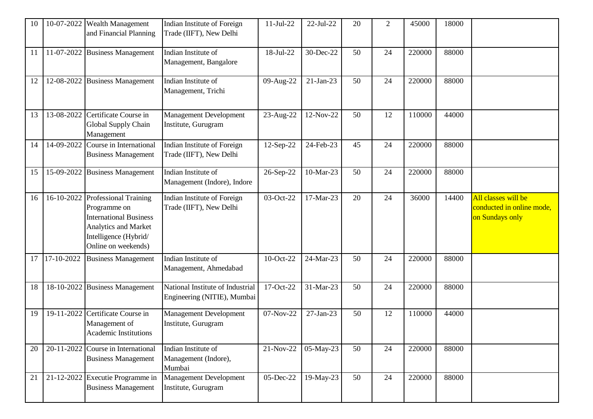| 10 | 10-07-2022 | Wealth Management<br>and Financial Planning                                                                                                           | Indian Institute of Foreign<br>Trade (IIFT), New Delhi          | $11-Jul-22$ | 22-Jul-22   | 20 | $\overline{2}$ | 45000  | 18000 |                                                                     |
|----|------------|-------------------------------------------------------------------------------------------------------------------------------------------------------|-----------------------------------------------------------------|-------------|-------------|----|----------------|--------|-------|---------------------------------------------------------------------|
| 11 | 11-07-2022 | <b>Business Management</b>                                                                                                                            | Indian Institute of<br>Management, Bangalore                    | 18-Jul-22   | 30-Dec-22   | 50 | 24             | 220000 | 88000 |                                                                     |
| 12 | 12-08-2022 | <b>Business Management</b>                                                                                                                            | Indian Institute of<br>Management, Trichi                       | 09-Aug-22   | $21-Jan-23$ | 50 | 24             | 220000 | 88000 |                                                                     |
| 13 | 13-08-2022 | Certificate Course in<br>Global Supply Chain<br>Management                                                                                            | <b>Management Development</b><br>Institute, Gurugram            | 23-Aug-22   | 12-Nov-22   | 50 | 12             | 110000 | 44000 |                                                                     |
| 14 | 14-09-2022 | Course in International<br><b>Business Management</b>                                                                                                 | Indian Institute of Foreign<br>Trade (IIFT), New Delhi          | 12-Sep-22   | 24-Feb-23   | 45 | 24             | 220000 | 88000 |                                                                     |
| 15 | 15-09-2022 | <b>Business Management</b>                                                                                                                            | Indian Institute of<br>Management (Indore), Indore              | 26-Sep-22   | 10-Mar-23   | 50 | 24             | 220000 | 88000 |                                                                     |
| 16 | 16-10-2022 | <b>Professional Training</b><br>Programme on<br><b>International Business</b><br>Analytics and Market<br>Intelligence (Hybrid/<br>Online on weekends) | Indian Institute of Foreign<br>Trade (IIFT), New Delhi          | 03-Oct-22   | 17-Mar-23   | 20 | 24             | 36000  | 14400 | All classes will be<br>conducted in online mode,<br>on Sundays only |
| 17 | 17-10-2022 | <b>Business Management</b>                                                                                                                            | Indian Institute of<br>Management, Ahmedabad                    | 10-Oct-22   | 24-Mar-23   | 50 | 24             | 220000 | 88000 |                                                                     |
| 18 | 18-10-2022 | <b>Business Management</b>                                                                                                                            | National Institute of Industrial<br>Engineering (NITIE), Mumbai | 17-Oct-22   | 31-Mar-23   | 50 | 24             | 220000 | 88000 |                                                                     |
| 19 | 19-11-2022 | Certificate Course in<br>Management of<br>Academic Institutions                                                                                       | <b>Management Development</b><br>Institute, Gurugram            | 07-Nov-22   | 27-Jan-23   | 50 | 12             | 110000 | 44000 |                                                                     |
| 20 | 20-11-2022 | Course in International<br><b>Business Management</b>                                                                                                 | Indian Institute of<br>Management (Indore),<br>Mumbai           | 21-Nov-22   | 05-May-23   | 50 | 24             | 220000 | 88000 |                                                                     |
| 21 | 21-12-2022 | Executie Programme in<br><b>Business Management</b>                                                                                                   | Management Development<br>Institute, Gurugram                   | 05-Dec-22   | 19-May-23   | 50 | 24             | 220000 | 88000 |                                                                     |